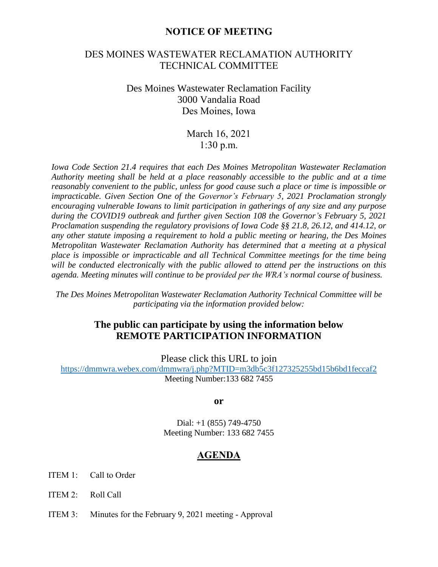## **NOTICE OF MEETING**

## DES MOINES WASTEWATER RECLAMATION AUTHORITY TECHNICAL COMMITTEE

## Des Moines Wastewater Reclamation Facility 3000 Vandalia Road Des Moines, Iowa

March 16, 2021 1:30 p.m.

*Iowa Code Section 21.4 requires that each Des Moines Metropolitan Wastewater Reclamation Authority meeting shall be held at a place reasonably accessible to the public and at a time reasonably convenient to the public, unless for good cause such a place or time is impossible or impracticable. Given Section One of the Governor's February 5, 2021 Proclamation strongly encouraging vulnerable Iowans to limit participation in gatherings of any size and any purpose during the COVID19 outbreak and further given Section 108 the Governor's February 5, 2021 Proclamation suspending the regulatory provisions of Iowa Code §§ 21.8, 26.12, and 414.12, or any other statute imposing a requirement to hold a public meeting or hearing, the Des Moines Metropolitan Wastewater Reclamation Authority has determined that a meeting at a physical place is impossible or impracticable and all Technical Committee meetings for the time being will be conducted electronically with the public allowed to attend per the instructions on this agenda. Meeting minutes will continue to be provided per the WRA's normal course of business.*

*The Des Moines Metropolitan Wastewater Reclamation Authority Technical Committee will be participating via the information provided below:*

## **The public can participate by using the information below REMOTE PARTICIPATION INFORMATION**

Please click this URL to join

<https://dmmwra.webex.com/dmmwra/j.php?MTID=m3db5c3f127325255bd15b6bd1feccaf2> Meeting Number:133 682 7455

**or**

Dial: +1 (855) 749-4750 Meeting Number: 133 682 7455

## **AGENDA**

- ITEM 1: Call to Order
- ITEM 2: Roll Call
- ITEM 3: Minutes for the February 9, 2021 meeting Approval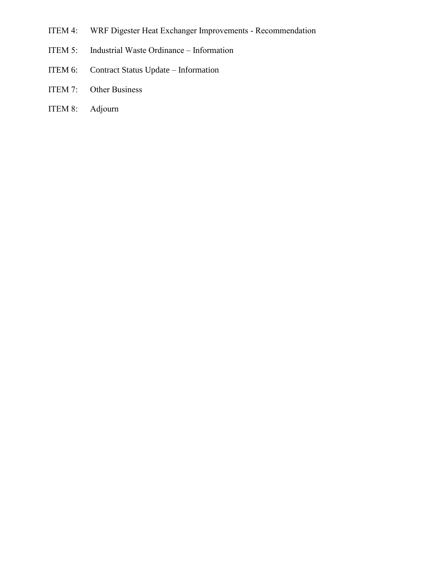- ITEM 4: WRF Digester Heat Exchanger Improvements Recommendation
- ITEM 5: Industrial Waste Ordinance Information
- ITEM 6: Contract Status Update Information
- ITEM 7: Other Business
- ITEM 8: Adjourn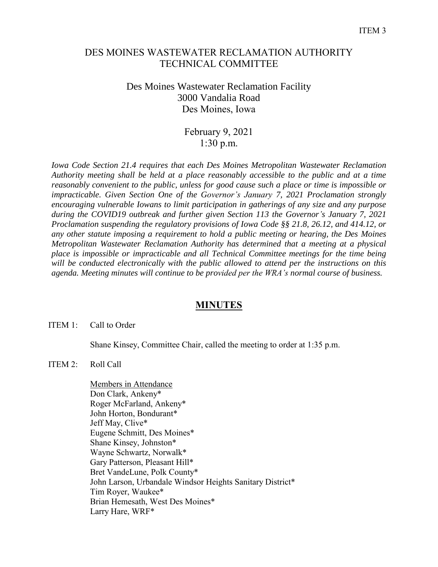## DES MOINES WASTEWATER RECLAMATION AUTHORITY TECHNICAL COMMITTEE

## Des Moines Wastewater Reclamation Facility 3000 Vandalia Road Des Moines, Iowa

## February 9, 2021 1:30 p.m.

*Iowa Code Section 21.4 requires that each Des Moines Metropolitan Wastewater Reclamation Authority meeting shall be held at a place reasonably accessible to the public and at a time reasonably convenient to the public, unless for good cause such a place or time is impossible or impracticable. Given Section One of the Governor's January 7, 2021 Proclamation strongly encouraging vulnerable Iowans to limit participation in gatherings of any size and any purpose during the COVID19 outbreak and further given Section 113 the Governor's January 7, 2021 Proclamation suspending the regulatory provisions of Iowa Code §§ 21.8, 26.12, and 414.12, or any other statute imposing a requirement to hold a public meeting or hearing, the Des Moines Metropolitan Wastewater Reclamation Authority has determined that a meeting at a physical place is impossible or impracticable and all Technical Committee meetings for the time being will be conducted electronically with the public allowed to attend per the instructions on this agenda. Meeting minutes will continue to be provided per the WRA's normal course of business.*

## **MINUTES**

## ITEM 1: Call to Order

Shane Kinsey, Committee Chair, called the meeting to order at 1:35 p.m.

## ITEM 2: Roll Call

Members in Attendance Don Clark, Ankeny\* Roger McFarland, Ankeny\* John Horton, Bondurant\* Jeff May, Clive\* Eugene Schmitt, Des Moines\* Shane Kinsey, Johnston\* Wayne Schwartz, Norwalk\* Gary Patterson, Pleasant Hill\* Bret VandeLune, Polk County\* John Larson, Urbandale Windsor Heights Sanitary District\* Tim Royer, Waukee\* Brian Hemesath, West Des Moines\* Larry Hare, WRF\*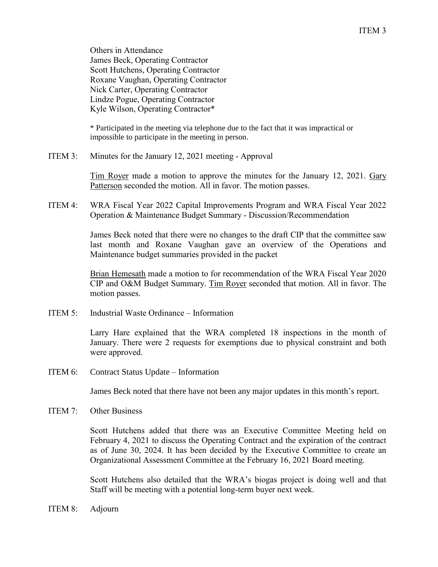Others in Attendance James Beck, Operating Contractor Scott Hutchens, Operating Contractor Roxane Vaughan, Operating Contractor Nick Carter, Operating Contractor Lindze Pogue, Operating Contractor Kyle Wilson, Operating Contractor\*

\* Participated in the meeting via telephone due to the fact that it was impractical or impossible to participate in the meeting in person.

ITEM 3: Minutes for the January 12, 2021 meeting - Approval

Tim Royer made a motion to approve the minutes for the January 12, 2021. Gary Patterson seconded the motion. All in favor. The motion passes.

ITEM 4: WRA Fiscal Year 2022 Capital Improvements Program and WRA Fiscal Year 2022 Operation & Maintenance Budget Summary - Discussion/Recommendation

> James Beck noted that there were no changes to the draft CIP that the committee saw last month and Roxane Vaughan gave an overview of the Operations and Maintenance budget summaries provided in the packet

> Brian Hemesath made a motion to for recommendation of the WRA Fiscal Year 2020 CIP and O&M Budget Summary. Tim Royer seconded that motion. All in favor. The motion passes.

ITEM 5: Industrial Waste Ordinance – Information

Larry Hare explained that the WRA completed 18 inspections in the month of January. There were 2 requests for exemptions due to physical constraint and both were approved.

ITEM 6: Contract Status Update – Information

James Beck noted that there have not been any major updates in this month's report.

ITEM 7: Other Business

Scott Hutchens added that there was an Executive Committee Meeting held on February 4, 2021 to discuss the Operating Contract and the expiration of the contract as of June 30, 2024. It has been decided by the Executive Committee to create an Organizational Assessment Committee at the February 16, 2021 Board meeting.

Scott Hutchens also detailed that the WRA's biogas project is doing well and that Staff will be meeting with a potential long-term buyer next week.

ITEM 8: Adjourn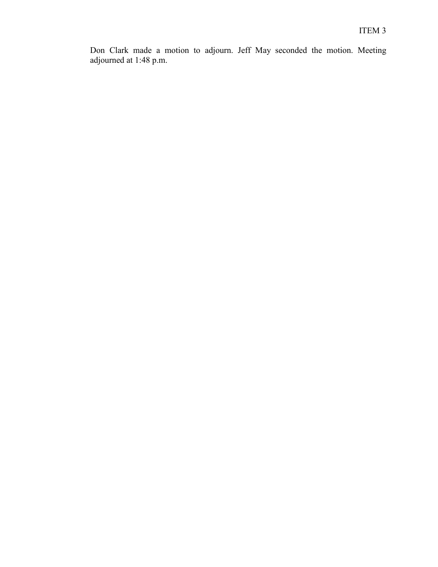Don Clark made a motion to adjourn. Jeff May seconded the motion. Meeting adjourned at 1:48 p.m.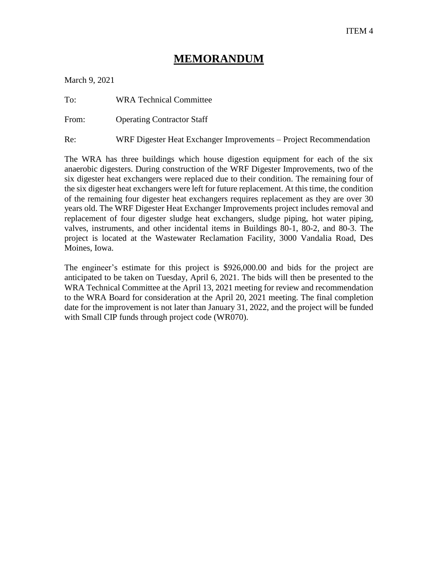# **MEMORANDUM**

March 9, 2021

To: WRA Technical Committee

From: Operating Contractor Staff

Re: WRF Digester Heat Exchanger Improvements – Project Recommendation

The WRA has three buildings which house digestion equipment for each of the six anaerobic digesters. During construction of the WRF Digester Improvements, two of the six digester heat exchangers were replaced due to their condition. The remaining four of the six digester heat exchangers were left for future replacement. At this time, the condition of the remaining four digester heat exchangers requires replacement as they are over 30 years old. The WRF Digester Heat Exchanger Improvements project includes removal and replacement of four digester sludge heat exchangers, sludge piping, hot water piping, valves, instruments, and other incidental items in Buildings 80-1, 80-2, and 80-3. The project is located at the Wastewater Reclamation Facility, 3000 Vandalia Road, Des Moines, Iowa.

The engineer's estimate for this project is \$926,000.00 and bids for the project are anticipated to be taken on Tuesday, April 6, 2021. The bids will then be presented to the WRA Technical Committee at the April 13, 2021 meeting for review and recommendation to the WRA Board for consideration at the April 20, 2021 meeting. The final completion date for the improvement is not later than January 31, 2022, and the project will be funded with Small CIP funds through project code (WR070).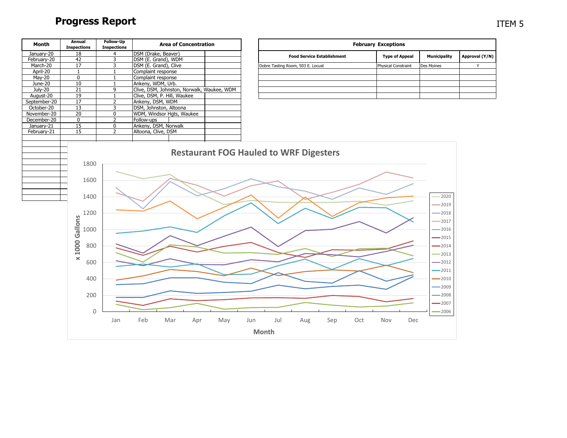# **Progress Report**

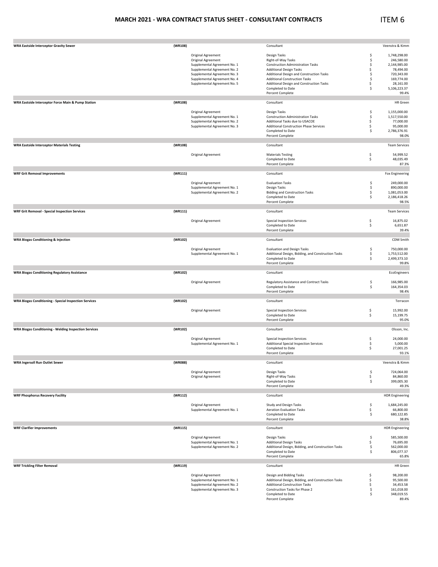### **MARCH 2021 ‐ WRA CONTRACT STATUS SHEET ‐ CONSULTANT CONTRACTS**

## ITEM 6

| <b>WRA Eastside Interceptor Gravity Sewer</b>                | (WR108) |                                                              | Consultant                                                                               |          | Veenstra & Kimm           |
|--------------------------------------------------------------|---------|--------------------------------------------------------------|------------------------------------------------------------------------------------------|----------|---------------------------|
|                                                              |         | Original Agreement                                           | Design Tasks                                                                             | \$       | 1,748,298.00              |
|                                                              |         | Original Agreement                                           | Right-of-Way Tasks                                                                       | \$       | 246,580.00                |
|                                                              |         | Supplemental Agreement No. 1                                 | <b>Construction Administration Tasks</b>                                                 | \$       | 2,144,985.00              |
|                                                              |         | Supplemental Agreement No. 2                                 | <b>Additional Design Tasks</b>                                                           | \$       | 78,494.00                 |
|                                                              |         | Supplemental Agreement No. 3                                 | Additional Design and Construction Tasks                                                 | \$       | 720,343.00                |
|                                                              |         | Supplemental Agreement No. 4                                 | <b>Additional Construction Tasks</b>                                                     | \$       | 169,774.00                |
|                                                              |         | Supplemental Agreement No. 5                                 | Additional Design and Construction Tasks<br>Completed to Date                            | \$<br>\$ | 28,161.00<br>5,106,223.37 |
|                                                              |         |                                                              | Percent Complete                                                                         |          | 99.4%                     |
| WRA Eastside Interceptor Force Main & Pump Station           | (WR108) |                                                              | Consultant                                                                               |          | <b>HR</b> Green           |
|                                                              |         |                                                              |                                                                                          |          |                           |
|                                                              |         | Original Agreement                                           | Design Tasks                                                                             | \$       | 1,155,000.00              |
|                                                              |         | Supplemental Agreement No. 1                                 | <b>Construction Administration Tasks</b>                                                 | \$       | 1,517,550.00              |
|                                                              |         | Supplemental Agreement No. 2<br>Supplemental Agreement No. 3 | Additional Tasks due to USACOE<br><b>Additional Construction Phase Services</b>          | \$<br>\$ | 77,000.00<br>95,000.00    |
|                                                              |         |                                                              | Completed to Date                                                                        | \$       | 2,786,376.91              |
|                                                              |         |                                                              | Percent Complete                                                                         |          | 98.0%                     |
|                                                              |         |                                                              |                                                                                          |          |                           |
| <b>WRA Eastside Interceptor Materials Testing</b>            | (WR108) |                                                              | Consultant                                                                               |          | <b>Team Services</b>      |
|                                                              |         | Original Agreement                                           | <b>Materials Testing</b>                                                                 | \$       | 54,999.52                 |
|                                                              |         |                                                              | Completed to Date                                                                        | \$       | 48,035.49                 |
|                                                              |         |                                                              | Percent Complete                                                                         |          | 87.3%                     |
| <b>WRF Grit Removal Improvements</b>                         | (WR111) |                                                              | Consultant                                                                               |          | <b>Fox Engineering</b>    |
|                                                              |         | Original Agreement                                           | <b>Evaluation Tasks</b>                                                                  | \$       | 249,000.00                |
|                                                              |         | Supplemental Agreement No. 1                                 | Design Tasks                                                                             | \$       | 890,000.00                |
|                                                              |         | Supplemental Agreement No. 2                                 | <b>Bidding and Construction Tasks</b>                                                    | \$       | 1,081,053.00              |
|                                                              |         |                                                              | Completed to Date                                                                        | \$       | 2,186,418.26              |
|                                                              |         |                                                              | Percent Complete                                                                         |          | 98.5%                     |
| <b>WRF Grit Removal - Special Inspection Services</b>        | (WR111) |                                                              | Consultant                                                                               |          | <b>Team Services</b>      |
|                                                              |         | Original Agreement                                           | <b>Special Inspection Services</b>                                                       | \$       | 16,875.02                 |
|                                                              |         |                                                              | Completed to Date                                                                        | \$       | 6,651.87                  |
|                                                              |         |                                                              | Percent Complete                                                                         |          | 39.4%                     |
| <b>WRA Biogas Conditioning &amp; Injection</b>               | (WR102) |                                                              | Consultant                                                                               |          | CDM Smith                 |
|                                                              |         |                                                              |                                                                                          |          | 750,000.00                |
|                                                              |         | Original Agreement<br>Supplemental Agreement No. 1           | <b>Evaluation and Design Tasks</b><br>Additional Design, Bidding, and Construction Tasks | \$<br>\$ | 1,753,512.00              |
|                                                              |         |                                                              | Completed to Date                                                                        | \$       | 2,499,373.10              |
|                                                              |         |                                                              | Percent Complete                                                                         |          | 99.8%                     |
| <b>WRA Biogas Conditioning Regulatory Assistance</b>         | (WR102) |                                                              | Consultant                                                                               |          | EcoEngineers              |
|                                                              |         |                                                              |                                                                                          |          |                           |
|                                                              |         | Original Agreement                                           | Regulatory Assistance and Contract Tasks<br>Completed to Date                            | \$<br>\$ | 166,985.00<br>164,354.03  |
|                                                              |         |                                                              | Percent Complete                                                                         |          | 98.4%                     |
| <b>WRA Biogas Conditioning - Special Inspection Services</b> | (WR102) |                                                              | Consultant                                                                               |          | Terracon                  |
|                                                              |         |                                                              |                                                                                          |          |                           |
|                                                              |         | Original Agreement                                           | Special Inspection Services                                                              | \$       | 15,992.00                 |
|                                                              |         |                                                              | Completed to Date<br>Percent Complete                                                    | \$       | 15,199.75<br>95.0%        |
|                                                              |         |                                                              |                                                                                          |          |                           |
| <b>WRA Biogas Conditioning - Welding Inspection Services</b> | (WR102) |                                                              | Consultant                                                                               |          | Olsson, Inc.              |
|                                                              |         | Original Agreement                                           | <b>Special Inspection Services</b>                                                       | \$       | 24,000.00                 |
|                                                              |         | Supplemental Agreement No. 1                                 | Additional Special Inspection Services                                                   | \$       | 5,000.00                  |
|                                                              |         |                                                              | Completed to Date<br>Percent Complete                                                    | \$       | 27,001.25<br>93.1%        |
|                                                              |         |                                                              |                                                                                          |          |                           |
| <b>WRA Ingersoll Run Outlet Sewer</b>                        | (WR088) |                                                              | Consultant                                                                               |          | Veenstra & Kimm           |
|                                                              |         | Original Agreement                                           | Design Tasks                                                                             | \$       | 724,064.00                |
|                                                              |         | Original Agreement                                           | Right-of-Way Tasks                                                                       | \$       | 84,860.00                 |
|                                                              |         |                                                              | Completed to Date                                                                        | \$       | 399,005.30                |
|                                                              |         |                                                              | Percent Complete                                                                         |          | 49.3%                     |
| <b>WRF Phosphorus Recovery Facility</b>                      | (WR112) |                                                              | Consultant                                                                               |          | <b>HDR</b> Engineering    |
|                                                              |         | Original Agreement                                           | Study and Design Tasks                                                                   | \$       | 1,684,245.00              |
|                                                              |         | Supplemental Agreement No. 1                                 | <b>Aeration Evaluation Tasks</b>                                                         | \$       | 66,800.00                 |
|                                                              |         |                                                              | Completed to Date                                                                        | \$       | 680,122.85                |
|                                                              |         |                                                              | Percent Complete                                                                         |          | 38.8%                     |
| <b>WRF Clarifier Improvements</b>                            | (WR115) |                                                              | Consultant                                                                               |          | <b>HDR Engineering</b>    |
|                                                              |         | Original Agreement                                           | Design Tasks                                                                             | \$       | 585,500.00                |
|                                                              |         | Supplemental Agreement No. 1                                 | <b>Additional Design Tasks</b>                                                           | \$       | 76,695.00                 |
|                                                              |         | Supplemental Agreement No. 2                                 | Additional Design, Bidding, and Construction Tasks                                       | \$       | 562,000.00                |
|                                                              |         |                                                              | Completed to Date                                                                        | \$       | 806,077.37                |
|                                                              |         |                                                              | Percent Complete                                                                         |          | 65.8%                     |
| <b>WRF Trickling Filter Removal</b>                          | (WR119) |                                                              | Consultant                                                                               |          | <b>HR</b> Green           |
|                                                              |         | Original Agreement                                           | Design and Bidding Tasks                                                                 | \$       | 98,200.00                 |
|                                                              |         | Supplemental Agreement No. 1                                 | Additional Design, Bidding, and Construction Tasks                                       | \$       | 95,500.00                 |
|                                                              |         | Supplemental Agreement No. 2                                 | <b>Additional Construction Tasks</b>                                                     | \$       | 34,453.58                 |
|                                                              |         | Supplemental Agreement No. 3                                 | Construction Tasks for Phase 2                                                           | \$       | 161,018.00                |
|                                                              |         |                                                              | Completed to Date                                                                        | \$       | 348,019.55                |
|                                                              |         |                                                              | Percent Complete                                                                         |          | 89.4%                     |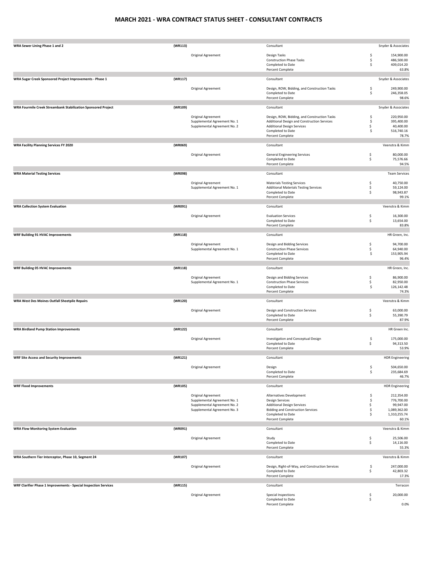### **MARCH 2021 ‐ WRA CONTRACT STATUS SHEET ‐ CONSULTANT CONTRACTS**

| WRA Sewer Lining Phase 1 and 2                                   | (WR113) |                                                              | Consultant                                                                                | Snyder & Associates       |
|------------------------------------------------------------------|---------|--------------------------------------------------------------|-------------------------------------------------------------------------------------------|---------------------------|
|                                                                  |         | Original Agreement                                           | Design Tasks<br>\$                                                                        | 154,900.00                |
|                                                                  |         |                                                              | \$<br><b>Construction Phase Tasks</b>                                                     | 486,500.00                |
|                                                                  |         |                                                              | Completed to Date<br>\$<br>Percent Complete                                               | 409,014.20<br>63.8%       |
|                                                                  |         |                                                              |                                                                                           |                           |
| WRA Sugar Creek Sponsored Project Improvements - Phase 1         | (WR117) |                                                              | Consultant                                                                                | Snyder & Associates       |
|                                                                  |         |                                                              |                                                                                           |                           |
|                                                                  |         | Original Agreement                                           | Design, ROW, Bidding, and Construction Tasks<br>\$<br>\$<br>Completed to Date             | 249,900.00<br>246,358.05  |
|                                                                  |         |                                                              | Percent Complete                                                                          | 98.6%                     |
|                                                                  |         |                                                              |                                                                                           |                           |
| WRA Fourmile Creek Streambank Stabilization Sponsored Project    | (WR109) |                                                              | Consultant                                                                                | Snyder & Associates       |
|                                                                  |         | Original Agreement                                           | Design, ROW, Bidding, and Construction Tasks<br>\$                                        | 220,950.00                |
|                                                                  |         | Supplemental Agreement No. 1                                 | \$<br>Additional Design and Construction Services                                         | 395,400.00                |
|                                                                  |         | Supplemental Agreement No. 2                                 | \$<br><b>Additional Design Services</b><br>Completed to Date<br>\$                        | 40,400.00<br>516,740.16   |
|                                                                  |         |                                                              | Percent Complete                                                                          | 78.7%                     |
|                                                                  |         |                                                              |                                                                                           |                           |
| <b>WRA Facility Planning Services FY 2020</b>                    | (WR069) |                                                              | Consultant                                                                                | Veenstra & Kimm           |
|                                                                  |         | Original Agreement                                           | \$<br><b>General Engineering Services</b>                                                 | 80,000.00                 |
|                                                                  |         |                                                              | Completed to Date<br>\$                                                                   | 75,576.66                 |
|                                                                  |         |                                                              | Percent Complete                                                                          | 94.5%                     |
| <b>WRA Material Testing Services</b>                             | (WR098) |                                                              | Consultant                                                                                | <b>Team Services</b>      |
|                                                                  |         |                                                              |                                                                                           |                           |
|                                                                  |         | Original Agreement                                           | <b>Materials Testing Services</b><br>\$                                                   | 40.750.00                 |
|                                                                  |         | Supplemental Agreement No. 1                                 | <b>Additional Materials Testing Services</b><br>\$<br>\$<br>Completed to Date             | 59,124.00<br>98,943.87    |
|                                                                  |         |                                                              | Percent Complete                                                                          | 99.1%                     |
|                                                                  |         |                                                              |                                                                                           |                           |
| <b>WRA Collection System Evaluation</b>                          | (WR091) |                                                              | Consultant                                                                                | Veenstra & Kimm           |
|                                                                  |         | Original Agreement                                           | \$<br><b>Evaluation Services</b>                                                          | 16,300.00                 |
|                                                                  |         |                                                              | \$<br>Completed to Date                                                                   | 13,654.00                 |
|                                                                  |         |                                                              | Percent Complete                                                                          | 83.8%                     |
| WRF Building 91 HVAC Improvements                                | (WR118) |                                                              | Consultant                                                                                | HR Green, Inc.            |
|                                                                  |         |                                                              |                                                                                           |                           |
|                                                                  |         | Original Agreement                                           | Design and Bidding Services<br>\$                                                         | 94,700.00                 |
|                                                                  |         | Supplemental Agreement No. 1                                 | \$<br><b>Construction Phase Services</b><br>Completed to Date<br>\$                       | 64,940.00<br>153,905.94   |
|                                                                  |         |                                                              | Percent Complete                                                                          | 96.4%                     |
|                                                                  |         |                                                              |                                                                                           |                           |
| <b>WRF Building 05 HVAC Improvements</b>                         | (WR118) |                                                              | Consultant                                                                                | HR Green, Inc.            |
|                                                                  |         | Original Agreement                                           | Design and Bidding Services<br>\$                                                         | 86,900.00                 |
|                                                                  |         | Supplemental Agreement No. 1                                 | <b>Construction Phase Services</b><br>\$                                                  | 82,950.00                 |
|                                                                  |         |                                                              | \$<br>Completed to Date<br>Percent Complete                                               | 126,142.48<br>74.3%       |
|                                                                  |         |                                                              |                                                                                           |                           |
| WRA West Des Moines Outfall Sheetpile Repairs                    | (WR120) |                                                              | Consultant                                                                                | Veenstra & Kimm           |
|                                                                  |         | Original Agreement                                           | \$<br>Design and Construction Services                                                    | 63,000.00                 |
|                                                                  |         |                                                              | \$<br>Completed to Date                                                                   | 55,390.79                 |
|                                                                  |         |                                                              | Percent Complete                                                                          | 87.9%                     |
|                                                                  | (WR122) |                                                              |                                                                                           | HR Green Inc.             |
| <b>WRA Birdland Pump Station Improvements</b>                    |         |                                                              | Consultant                                                                                |                           |
|                                                                  |         | Original Agreement                                           | Investigation and Conceptual Design<br>\$                                                 | 175,000.00                |
|                                                                  |         |                                                              | \$<br>Completed to Date                                                                   | 94,313.50                 |
|                                                                  |         |                                                              | Percent Complete                                                                          | 53.9%                     |
| <b>WRF Site Access and Security Improvements</b>                 | (WR121) |                                                              | Consultant                                                                                | <b>HDR Engineering</b>    |
|                                                                  |         |                                                              |                                                                                           |                           |
|                                                                  |         | Original Agreement                                           | \$<br>Design<br>\$<br>Completed to Date                                                   | 504,650.00<br>235,684.69  |
|                                                                  |         |                                                              | Percent Complete                                                                          | 46.7%                     |
|                                                                  |         |                                                              |                                                                                           |                           |
| <b>WRF Flood Improvements</b>                                    | (WR105) |                                                              | Consultant                                                                                | <b>HDR Engineering</b>    |
|                                                                  |         | Original Agreement                                           | Alternatives Development<br>\$                                                            | 212,354.00                |
|                                                                  |         | Supplemental Agreement No. 1                                 | \$<br><b>Design Services</b>                                                              | 776,700.00                |
|                                                                  |         | Supplemental Agreement No. 2<br>Supplemental Agreement No. 3 | \$<br><b>Additional Design Services</b><br><b>Bidding and Construction Services</b><br>\$ | 99,947.00<br>1,089,362.00 |
|                                                                  |         |                                                              | Completed to Date<br>\$                                                                   | 1,310,255.74              |
|                                                                  |         |                                                              | Percent Complete                                                                          | 60.1%                     |
| <b>WRA Flow Monitoring System Evaluation</b>                     | (WR091) |                                                              | Consultant                                                                                | Veenstra & Kimm           |
|                                                                  |         |                                                              |                                                                                           |                           |
|                                                                  |         | Original Agreement                                           | \$<br>Study                                                                               | 25,506.00                 |
|                                                                  |         |                                                              | Completed to Date<br>\$<br>Percent Complete                                               | 14,116.00<br>55.3%        |
|                                                                  |         |                                                              |                                                                                           |                           |
| WRA Southern Tier Interceptor, Phase 10, Segment 24              | (WR107) |                                                              | Consultant                                                                                | Veenstra & Kimm           |
|                                                                  |         | Original Agreement                                           | Design, Right-of-Way, and Construction Services                                           | 247,000.00                |
|                                                                  |         |                                                              | \$<br>\$<br>Completed to Date                                                             | 42,803.32                 |
|                                                                  |         |                                                              | Percent Complete                                                                          | 17.3%                     |
|                                                                  | (WR115) |                                                              |                                                                                           |                           |
| WRF Clarifier Phase 1 Improvements - Special Inspection Services |         |                                                              | Consultant                                                                                | Terracon                  |
|                                                                  |         |                                                              |                                                                                           |                           |
|                                                                  |         | Original Agreement                                           | \$<br>Special Inspections                                                                 | 20,000.00                 |
|                                                                  |         |                                                              | \$<br>Completed to Date<br>Percent Complete                                               | 0.0%                      |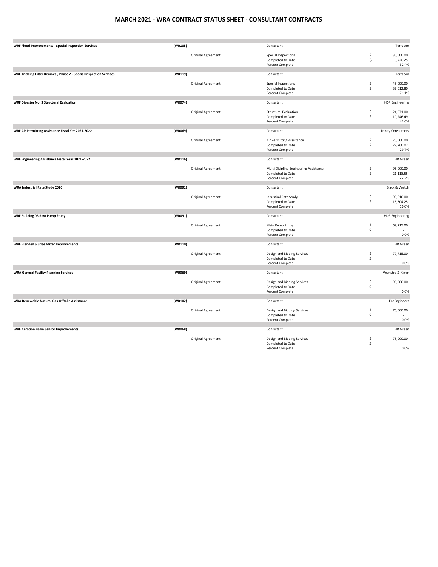### **MARCH 2021 ‐ WRA CONTRACT STATUS SHEET ‐ CONSULTANT CONTRACTS**

| <b>WRF Flood Improvements - Special Inspection Services</b>         | (WR105) |                           | Consultant                                                            |          | Terracon                        |
|---------------------------------------------------------------------|---------|---------------------------|-----------------------------------------------------------------------|----------|---------------------------------|
|                                                                     |         | Original Agreement        | Special Inspections<br>Completed to Date<br>Percent Complete          | \$<br>\$ | 30,000.00<br>9,726.25<br>32.4%  |
|                                                                     |         |                           |                                                                       |          |                                 |
| WRF Trickling Filter Removal, Phase 2 - Special Inspection Services | (WR119) |                           | Consultant                                                            |          | Terracon                        |
|                                                                     |         | <b>Original Agreement</b> | Special Inspections<br>Completed to Date<br>Percent Complete          | \$<br>\$ | 45,000.00<br>32,012.80<br>71.1% |
| <b>WRF Digester No. 3 Structural Evaluation</b>                     | (WR074) |                           | Consultant                                                            |          |                                 |
|                                                                     |         |                           |                                                                       |          | <b>HDR Engineering</b>          |
|                                                                     |         | Original Agreement        | <b>Structural Evaluation</b><br>Completed to Date<br>Percent Complete | \$<br>\$ | 24,071.00<br>10,246.49<br>42.6% |
| WRF Air Permitting Assistance Fiscal Yer 2021-2022                  | (WR069) |                           | Consultant                                                            |          | <b>Trinity Consultants</b>      |
|                                                                     |         |                           |                                                                       |          |                                 |
|                                                                     |         | Original Agreement        | Air Permitting Assistance                                             | \$       | 75,000.00                       |
|                                                                     |         |                           | Completed to Date<br>Percent Complete                                 | \$       | 22,260.02<br>29.7%              |
|                                                                     |         |                           |                                                                       |          |                                 |
| WRF Engineering Assistance Fiscal Year 2021-2022                    | (WR116) |                           | Consultant                                                            |          | <b>HR</b> Green                 |
|                                                                     |         | Original Agreement        | Multi-Disipline Engineering Assistance                                | \$       | 95,000.00                       |
|                                                                     |         |                           | Completed to Date                                                     | \$       | 21,118.55                       |
|                                                                     |         |                           | Percent Complete                                                      |          | 22.2%                           |
| <b>WRA Industrial Rate Study 2020</b>                               | (WR091) |                           | Consultant                                                            |          | Black & Veatch                  |
|                                                                     |         |                           |                                                                       |          |                                 |
|                                                                     |         | Original Agreement        | <b>Industiral Rate Study</b><br>Completed to Date                     | \$<br>\$ | 98,810.00<br>15,804.25          |
|                                                                     |         |                           | Percent Complete                                                      |          | 16.0%                           |
| <b>WRF Building 05 Raw Pump Study</b>                               | (WR091) |                           | Consultant                                                            |          | <b>HDR Engineering</b>          |
|                                                                     |         |                           |                                                                       |          |                                 |
|                                                                     |         | Original Agreement        | Main Pump Study                                                       | \$       | 69,715.00                       |
|                                                                     |         |                           | Completed to Date<br>Percent Complete                                 | \$       | 0.0%                            |
|                                                                     |         |                           |                                                                       |          |                                 |
| <b>WRF Blended Sludge Mixer Improvements</b>                        | (WR110) |                           | Consultant                                                            |          | <b>HR</b> Green                 |
|                                                                     |         | Original Agreement        | Design and Bidding Services                                           | \$       | 77,715.00                       |
|                                                                     |         |                           | Completed to Date                                                     | \$       |                                 |
|                                                                     |         |                           | Percent Complete                                                      |          | 0.0%                            |
| <b>WRA General Facility Planning Services</b>                       | (WR069) |                           | Consultant                                                            |          | Veenstra & Kimm                 |
|                                                                     |         | Original Agreement        | Design and Bidding Services                                           | \$       | 90,000.00                       |
|                                                                     |         |                           | Completed to Date                                                     | \$       |                                 |
|                                                                     |         |                           | Percent Complete                                                      |          | 0.0%                            |
| WRA Renewable Natural Gas Offtake Assistance                        | (WR102) |                           | Consultant                                                            |          | EcoEngineers                    |
|                                                                     |         |                           |                                                                       |          |                                 |
|                                                                     |         | Original Agreement        | Design and Bidding Services                                           | \$       | 75,000.00                       |
|                                                                     |         |                           | Completed to Date<br>Percent Complete                                 | \$       | 0.0%                            |
|                                                                     |         |                           |                                                                       |          |                                 |
| <b>WRF Aeration Basin Sensor Improvements</b>                       | (WR068) |                           | Consultant                                                            |          | <b>HR</b> Green                 |
|                                                                     |         | Original Agreement        | Design and Bidding Services                                           | \$       | 78,000.00                       |
|                                                                     |         |                           | Completed to Date<br>Percent Complete                                 | \$       | 0.0%                            |
|                                                                     |         |                           |                                                                       |          |                                 |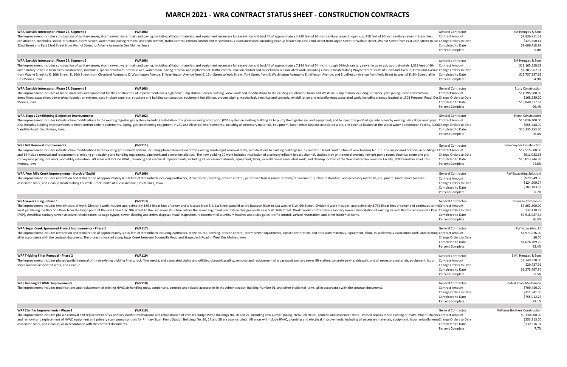# **MARCH 2021 ‐ WRA CONTRACT STATUS SHEET ‐ CONSTRUCTION CONTRACTS**

| WRA Eastside Interceptor, Phase 27, Segment 3<br>(WR108)                                                                                                                                                                       | <b>General Contractor</b> | SM Hentges & Sons                     |
|--------------------------------------------------------------------------------------------------------------------------------------------------------------------------------------------------------------------------------|---------------------------|---------------------------------------|
| The improvement includes construction of sanitary sewer, storm sewer, water main and paving, including all labor, materials and equipment necessary for excavation and backfill of approximately 4,720 feet of 66-inch sanitar | <b>Contract Amount</b>    | \$8,836,811.51                        |
| construction, manholes, special structures, storm sewer, water main, paving removal and replacement, traffic control, erosion control and miscellaneous associated work, including cleanup located on East 22nd Street from Lo |                           | \$123,650.41                          |
| 22nd Street and East 22nd Street from Walnut Street to Ankeny Avenue in Des Moines, Iowa                                                                                                                                       | Completed to Date         | \$8,689,718.98                        |
|                                                                                                                                                                                                                                | <b>Percent Complete</b>   | 97.0%                                 |
|                                                                                                                                                                                                                                |                           |                                       |
| WRA Eastside Interceptor, Phase 27, Segment 5<br>(WR108)                                                                                                                                                                       | <b>General Contractor</b> | SM Hentges & Sons                     |
| The improvement includes construction of sanitary sewer, storm sewer, water main and paving, including all labor, materials and equipment necessary for excavation and backfill of approximately 7,124 feet of 54-inch through | <b>Contract Amount</b>    | \$13,165,520.62                       |
| inch sanitary sewer in trenchless construction, manholes, special structures, storm sewer, water main, paving removal and replacement, traffic control, erosion control and miscellaneous associated work, including cleanup l |                           | \$1,303,967.31                        |
|                                                                                                                                                                                                                                |                           | \$13,737,827.69                       |
| from Wayne Street to E. 16th Street, E. 16th Street from Cleveland Avenue to E. Washington Avenue, E. Washington Avenue, E. Washington Avenue from E. 16th Street to York Street from E. Washington Avenue to E. Jefferson Ave | Completed to Date         |                                       |
| Des Moines, Iowa                                                                                                                                                                                                               | Percent Complete          | 94.9%                                 |
| WRA Eastside Interceptor, Phase 27, Segment 8<br>(WR108)                                                                                                                                                                       | <b>General Contractor</b> | <b>Story Construction</b>             |
| The improvement includes all labor, materials and equipment for the construction of improvements for a high flow pump station, screen building, valve vault and modifications to the existing equalization basin and Westside  | <b>Contract Amount</b>    | \$14,195,000.00                       |
| demolition, excavation, dewatering, foundation systems, cast-in-place concrete, structure and building construction, equipment installation, process piping, mechanical, electrical and controls, rehabilitation and miscellan |                           | \$168,289.00                          |
| Moines, Iowa                                                                                                                                                                                                                   | Completed to Date         | \$13,840,327.63                       |
|                                                                                                                                                                                                                                | <b>Percent Complete</b>   | 96.4%                                 |
|                                                                                                                                                                                                                                |                           |                                       |
| (WR102)<br>WRA Biogas Conditioning & Injection Improvements                                                                                                                                                                    | <b>General Contractor</b> | <b>Shank Constructors</b>             |
| The improvement includes infrastructure modifications to the existing digester gas system, including installation of a pressure swing adsorption (PSA) system in existing Building 75 to purify the digester gas and equipment |                           | \$15,036,400.00                       |
| Also includes building improvements to meet current code requirements, piping, gas conditioning equipment, HVAC and electrical improvements, including all necessary materials, equipment, labor, miscellaneous associated wor |                           | \$555,788.00                          |
| Vandalia Road, Des Moines, Iowa                                                                                                                                                                                                | Completed to Date         | \$15,335,253.00                       |
|                                                                                                                                                                                                                                | <b>Percent Complete</b>   | 98.4%                                 |
|                                                                                                                                                                                                                                |                           |                                       |
| WRF Grit Removal Improvements<br>(WR111)                                                                                                                                                                                       | <b>General Contractor</b> |                                       |
|                                                                                                                                                                                                                                |                           | Dean Snyder Construction              |
| The improvement includes infrastructure modifications to the existing grit removal system, including phased demolition of the existing aerated grit removal tanks, modifications to existing buildings No. 12 and No. 14 and c |                           | \$12,515,000.00                       |
| and 14 include removal and replacement of existing grit washing and handling equipment, pipe work and blower installation. The new building 10 work includes installation of a primary influent bypass channel, stacked tray g | Change Orders to Date     | \$911,082.68                          |
| conveyance piping, site work, and utility relocation. All areas will include HVAC, plumbing and electrical improvements, including all necessary materials, equipment, labor, miscellaneous associated work, and cleanup locat | Completed to Date         | \$10.013.244.30                       |
| Moines, Iowa                                                                                                                                                                                                                   | <b>Percent Complete</b>   | 74.6%                                 |
|                                                                                                                                                                                                                                |                           |                                       |
| WRA Four Mile Creek Improvements - North of Euclid<br>(WR109)                                                                                                                                                                  | General Contracto         | <b>RW Excavating Solutions</b>        |
| The improvement includes restoration and stabilization of approximately 4,800 feet of streambank including earthwork, stone rip-rap, seeding, erosion control, pedestrian trail segment removal/replacement, surface restorati | <b>Contract Amount</b>    | \$929,949.00                          |
| associated work, and cleanup located along Fourmile Creek, north of Euclid Avenue, Des Moines, Iowa                                                                                                                            | Change Orders to Date     | $-$124,209.74$                        |
|                                                                                                                                                                                                                                | Completed to Date         | \$787,183.38                          |
|                                                                                                                                                                                                                                | <b>Percent Complete</b>   | 97.7%                                 |
| <b>WRA Sewer Lining - Phase 1</b><br>(WR113)                                                                                                                                                                                   | <b>General Contractor</b> | Spiniello Companies                   |
|                                                                                                                                                                                                                                |                           |                                       |
| The improvement includes two divisions of work. Division I work includes approximately 3,936 linear feet of sewer and is located from S.E. 1st Street parallel to the Raccoon River to just west of S.W. 9th Street. Division  |                           | \$7,863,300.00                        |
| west paralleling the Raccoon River from the begin point of Division I near S.W. 9th Street to the last sewer structure before the sewer alignment orientation changes north near S.W. 16th Street. Work consists of trenchless |                           | \$37,138.79                           |
| (RCP), trenchless sanitary sewer structure rehabilitation, sewage bypass, sewer cleaning and debris disposal, visual inspection, replacement of aluminum hatches and sluice gates, traffic control, surface restoration, and o | Completed to Date         | \$7.618.087.34                        |
|                                                                                                                                                                                                                                | Percent Complete          | 96.4%                                 |
| WRA Sugar Creek Sponsored Project Improvements - Phase 1<br>(WR117)                                                                                                                                                            | <b>General Contractor</b> | <b>RW Excavating, LC</b>              |
| The improvement includes restoration and stabilization of approximately 3,300 feet of streambank including earthwork, stone rip-rap, seeding, erosion control, storm sewer adjustments, surface restoration, and necessary mat |                           | \$1,973,926.00                        |
| all in accordance with the contract document. The project is located along Sugar Creek between Booneville Road and Stagecoach Road in West Des Moines, Iowa                                                                    | Change Orders to Date     | \$0.00                                |
|                                                                                                                                                                                                                                | Completed to Date         | \$1,626,209.75                        |
|                                                                                                                                                                                                                                | Percent Complete          | 82.4%                                 |
|                                                                                                                                                                                                                                |                           |                                       |
| (WR119)<br><b>WRF Trickling Filter Removal - Phase 2</b>                                                                                                                                                                       | <b>General Contractor</b> | S.M. Hentges & Sons                   |
| The improvement includes phased partial removal of three existing trickling filters, rock filter media, and associated piping and utilities, sitework grading, removal and replacement of a packaged sanitary sewer lift stati | <b>Contract Amount</b>    | \$1,349,810.00                        |
| miscellaneous associated work, and cleanup.                                                                                                                                                                                    | Change Orders to Date     | \$29,787.91                           |
|                                                                                                                                                                                                                                | Completed to Date         | \$1,275,797.54                        |
|                                                                                                                                                                                                                                | <b>Percent Complete</b>   | 92.5%                                 |
|                                                                                                                                                                                                                                |                           |                                       |
| <b>WRF Building 91 HVAC Improvements</b><br>(WR118)                                                                                                                                                                            | General Contractor        | Central Iowa Mechanical               |
| The improvement includes modifications and replacement of existing HVAC air handling units, condensers, controls and related accessories in the Administration Building Number 91, and other incidental items; all in accordan | <b>Contract Amount</b>    | \$709,450.00                          |
|                                                                                                                                                                                                                                | Change Orders to Date     | \$111,541.00                          |
|                                                                                                                                                                                                                                | Completed to Date         | \$755,912.27                          |
|                                                                                                                                                                                                                                | <b>Percent Complete</b>   | 92.1%                                 |
|                                                                                                                                                                                                                                |                           |                                       |
| <b>WRF Clarifier Improvements - Phase 1</b><br>(WR118)                                                                                                                                                                         | <b>General Contractor</b> | <b>Williams Brothers Construction</b> |
| The improvement includes phased removal and replacement of six primary clarifier mechanisms and rehabilitation of Primary Sludge Pump Buildings No. 20 and 21, including new pumps, piping, HVAC, electrical, controls and ass |                           | \$9,330,000.00                        |
| and removal and replacement of HVAC equipment and primary scum pump controls for Primary Scum Pump Station Buildings No. 26, 27 and 28 are also included. All areas will include HVAC, plumbing and electrical improvements, i |                           | \$253,813.00                          |
| associated work, and cleanup; all in accordance with the contract documents.                                                                                                                                                   | Completed to Date         | \$739,376.01                          |
|                                                                                                                                                                                                                                | Percent Complete          | 7.7%                                  |
|                                                                                                                                                                                                                                |                           |                                       |

### **WRF Trickling Filter Removal - Phase 2**

### **WRF Grit Removal Improvements**

### **WRA Sewer Lining - Phase 1**